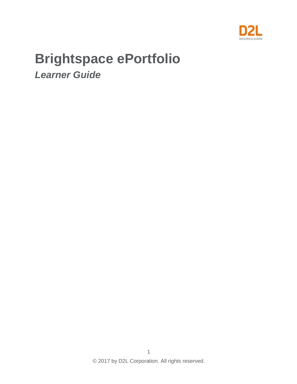

# **Brightspace ePortfolio**

*Learner Guide*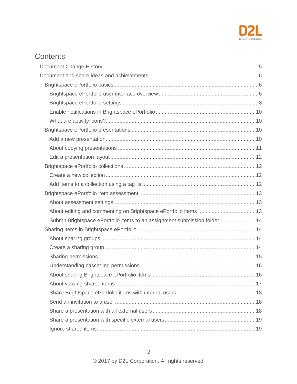

# Contents

| Submit Brightspace ePortfolio items to an assignment submission folder14 |  |
|--------------------------------------------------------------------------|--|
|                                                                          |  |
|                                                                          |  |
|                                                                          |  |
|                                                                          |  |
|                                                                          |  |
|                                                                          |  |
|                                                                          |  |
|                                                                          |  |
|                                                                          |  |
|                                                                          |  |
|                                                                          |  |
|                                                                          |  |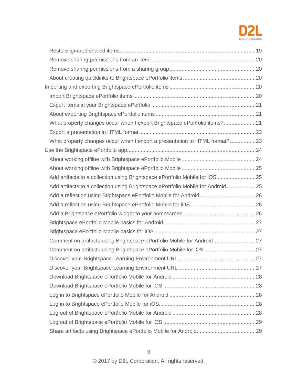

| What property changes occur when I export Brightspace ePortfolio items?21        |  |
|----------------------------------------------------------------------------------|--|
|                                                                                  |  |
| What property changes occur when I export a presentation to HTML format?23       |  |
|                                                                                  |  |
|                                                                                  |  |
|                                                                                  |  |
| Add artifacts to a collection using Brightspace ePortfolio Mobile for iOS 25     |  |
| Add artifacts to a collection using Brightspace ePortfolio Mobile for Android 25 |  |
|                                                                                  |  |
|                                                                                  |  |
|                                                                                  |  |
|                                                                                  |  |
|                                                                                  |  |
| Comment on artifacts using Brightspace ePortfolio Mobile for Android27           |  |
| Comment on artifacts using Brightspace ePortfolio Mobile for iOS 27              |  |
|                                                                                  |  |
|                                                                                  |  |
|                                                                                  |  |
|                                                                                  |  |
|                                                                                  |  |
|                                                                                  |  |
|                                                                                  |  |
|                                                                                  |  |
|                                                                                  |  |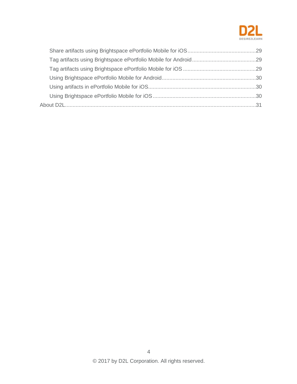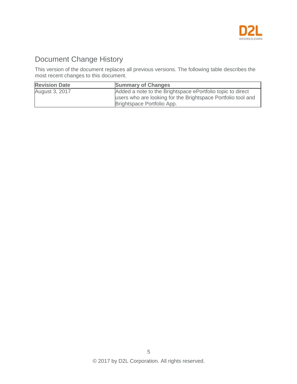

# <span id="page-4-0"></span>Document Change History

This version of the document replaces all previous versions. The following table describes the most recent changes to this document.

| <b>Revision Date</b> | <b>Summary of Changes</b>                                                                                                                                |
|----------------------|----------------------------------------------------------------------------------------------------------------------------------------------------------|
| August 3, 2017       | Added a note to the Brightspace ePortfolio topic to direct<br>users who are looking for the Brightspace Portfolio tool and<br>Brightspace Portfolio App. |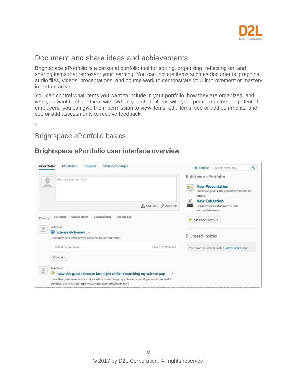

# <span id="page-5-0"></span>Document and share ideas and achievements

Brightspace ePortfolio is a personal portfolio tool for storing, organizing, reflecting on, and sharing items that represent your learning. You can include items such as documents, graphics, audio files, videos, presentations, and course work to demonstrate your improvement or mastery in certain areas.

You can control what items you want to include in your portfolio, how they are organized, and who you want to share them with. When you share items with your peers, mentors, or potential employers, you can give them permission to view items, edit items, see or add comments, and see or add assessments to receive feedback.

# <span id="page-5-1"></span>Brightspace ePortfolio basics

.

#### <span id="page-5-2"></span>**Brightspace ePortfolio user interface overview**

| ePortfolio<br>My Items<br>Explore<br><b>Sharing Groups</b>                                                             | Q<br>Search Newsfeed<br><b>泰 Settings</b>                                                                        |
|------------------------------------------------------------------------------------------------------------------------|------------------------------------------------------------------------------------------------------------------|
| What are you learning?                                                                                                 | Build your ePortfolio<br><b>New Presentation</b><br>e fi<br>Showcase your skills and achievements for<br>others. |
|                                                                                                                        | <b>New Collection</b><br>t, Add Files & Add Link<br>Organize ideas, discoveries, and<br>accomplishments.         |
| Shared Items<br>Friends List<br>Subscriptions<br>My Items<br>Filter by:<br>Rob Baker<br>으<br>Science dictionary *<br>c | Add Other Items                                                                                                  |
| Dictionary of science terms. Great for future reference.                                                               | 0 Unread Invites                                                                                                 |
| Edited by Rob Baker                                                                                                    | March 16 9:16 AM<br>You have no unread invites. View invites page.                                               |
| Comment                                                                                                                |                                                                                                                  |
| Rob Baker<br>오                                                                                                         |                                                                                                                  |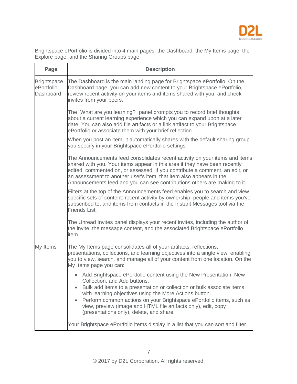

Brightspace ePortfolio is divided into 4 main pages: the Dashboard, the My Items page, the Explore page, and the Sharing Groups page.

| Page                                          | <b>Description</b>                                                                                                                                                                                                                                                                                                                                                                                                                         |  |  |  |  |  |
|-----------------------------------------------|--------------------------------------------------------------------------------------------------------------------------------------------------------------------------------------------------------------------------------------------------------------------------------------------------------------------------------------------------------------------------------------------------------------------------------------------|--|--|--|--|--|
| <b>Brightspace</b><br>ePortfolio<br>Dashboard | The Dashboard is the main landing page for Brightspace ePortfolio. On the<br>Dashboard page, you can add new content to your Brightspace ePortfolio,<br>review recent activity on your items and items shared with you, and check<br>invites from your peers.                                                                                                                                                                              |  |  |  |  |  |
|                                               | The "What are you learning?" panel prompts you to record brief thoughts<br>about a current learning experience which you can expand upon at a later<br>date. You can also add file artifacts or a link artifact to your Brightspace<br>ePortfolio or associate them with your brief reflection.<br>When you post an item, it automatically shares with the default sharing group<br>you specify in your Brightspace ePortfolio settings.   |  |  |  |  |  |
|                                               | The Announcements feed consolidates recent activity on your items and items<br>shared with you. Your items appear in this area if they have been recently<br>edited, commented on, or assessed. If you contribute a comment, an edit, or<br>an assessment to another user's item, that item also appears in the<br>Announcements feed and you can see contributions others are making to it.                                               |  |  |  |  |  |
|                                               | Filters at the top of the Announcements feed enables you to search and view<br>specific sets of content: recent activity by ownership, people and items you've<br>subscribed to, and items from contacts in the Instant Messages tool via the<br>Friends List.                                                                                                                                                                             |  |  |  |  |  |
|                                               | The Unread Invites panel displays your recent invites, including the author of<br>the invite, the message content, and the associated Brightspace ePortfolio<br>item.                                                                                                                                                                                                                                                                      |  |  |  |  |  |
| My Items                                      | The My Items page consolidates all of your artifacts, reflections,<br>presentations, collections, and learning objectives into a single view, enabling<br>you to view, search, and manage all of your content from one location. On the<br>My Items page you can:                                                                                                                                                                          |  |  |  |  |  |
|                                               | Add Brightspace ePortfolio content using the New Presentation, New<br>Collection, and Add buttons.<br>Bulk add items to a presentation or collection or bulk associate items<br>with learning objectives using the More Actions button.<br>Perform common actions on your Brightspace ePortfolio items, such as<br>$\bullet$<br>view, preview (image and HTML file artifacts only), edit, copy<br>(presentations only), delete, and share. |  |  |  |  |  |
|                                               | Your Brightspace ePortfolio items display in a list that you can sort and filter.                                                                                                                                                                                                                                                                                                                                                          |  |  |  |  |  |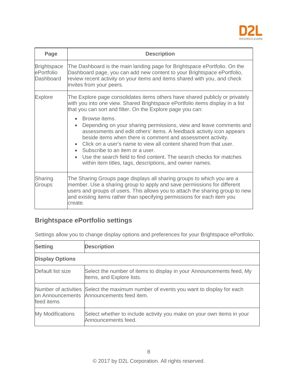

| Page                                          | <b>Description</b>                                                                                                                                                                                                                                                                                                                                                                                                                                                      |  |  |  |  |
|-----------------------------------------------|-------------------------------------------------------------------------------------------------------------------------------------------------------------------------------------------------------------------------------------------------------------------------------------------------------------------------------------------------------------------------------------------------------------------------------------------------------------------------|--|--|--|--|
| <b>Brightspace</b><br>ePortfolio<br>Dashboard | The Dashboard is the main landing page for Brightspace ePortfolio. On the<br>Dashboard page, you can add new content to your Brightspace ePortfolio,<br>review recent activity on your items and items shared with you, and check<br>invites from your peers.                                                                                                                                                                                                           |  |  |  |  |
| <b>Explore</b>                                | The Explore page consolidates items others have shared publicly or privately<br>with you into one view. Shared Brightspace ePortfolio items display in a list<br>that you can sort and filter. On the Explore page you can:                                                                                                                                                                                                                                             |  |  |  |  |
|                                               | Browse items.<br>Depending on your sharing permissions, view and leave comments and<br>assessments and edit others' items. A feedback activity icon appears<br>beside items when there is comment and assessment activity.<br>Click on a user's name to view all content shared from that user.<br>• Subscribe to an item or a user.<br>Use the search field to find content. The search checks for matches<br>within item titles, tags, descriptions, and owner names. |  |  |  |  |
| Sharing<br>Groups                             | The Sharing Groups page displays all sharing groups to which you are a<br>member. Use a sharing group to apply and save permissions for different<br>users and groups of users. This allows you to attach the sharing group to new<br>and existing items rather than specifying permissions for each item you<br>create.                                                                                                                                                |  |  |  |  |

# <span id="page-7-0"></span>**Brightspace ePortfolio settings**

|  |  |  | Settings allow you to change display options and preferences for your Brightspace ePortfolio. |  |  |
|--|--|--|-----------------------------------------------------------------------------------------------|--|--|
|  |  |  |                                                                                               |  |  |

| <b>Setting</b>          | <b>Description</b>                                                                                                                 |  |  |  |
|-------------------------|------------------------------------------------------------------------------------------------------------------------------------|--|--|--|
| <b>Display Options</b>  |                                                                                                                                    |  |  |  |
| Default list size       | Select the number of items to display in your Announcements feed, My<br>Items, and Explore lists.                                  |  |  |  |
| feed items              | Number of activities Select the maximum number of events you want to display for each<br>on Announcements Announcements feed item. |  |  |  |
| <b>My Modifications</b> | Select whether to include activity you make on your own items in your<br>Announcements feed.                                       |  |  |  |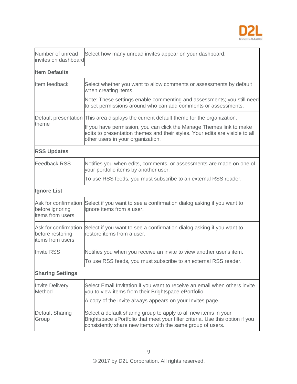

| Number of unread<br>invites on dashboard                     | Select how many unread invites appear on your dashboard.                                                                                                                                                        |  |  |  |
|--------------------------------------------------------------|-----------------------------------------------------------------------------------------------------------------------------------------------------------------------------------------------------------------|--|--|--|
| <b>Item Defaults</b>                                         |                                                                                                                                                                                                                 |  |  |  |
| Item feedback                                                | Select whether you want to allow comments or assessments by default<br>when creating items.                                                                                                                     |  |  |  |
|                                                              | Note: These settings enable commenting and assessments; you still need<br>to set permissions around who can add comments or assessments.                                                                        |  |  |  |
|                                                              | Default presentation This area displays the current default theme for the organization.                                                                                                                         |  |  |  |
| theme                                                        | If you have permission, you can click the Manage Themes link to make<br>edits to presentation themes and their styles. Your edits are visible to all<br>other users in your organization.                       |  |  |  |
| <b>RSS Updates</b>                                           |                                                                                                                                                                                                                 |  |  |  |
| <b>Feedback RSS</b>                                          | Notifies you when edits, comments, or assessments are made on one of<br>your portfolio items by another user.                                                                                                   |  |  |  |
|                                                              | To use RSS feeds, you must subscribe to an external RSS reader.                                                                                                                                                 |  |  |  |
| <b>Ignore List</b>                                           |                                                                                                                                                                                                                 |  |  |  |
| Ask for confirmation<br>before ignoring<br>items from users  | Select if you want to see a confirmation dialog asking if you want to<br>ignore items from a user.                                                                                                              |  |  |  |
| Ask for confirmation<br>before restoring<br>items from users | Select if you want to see a confirmation dialog asking if you want to<br>restore items from a user.                                                                                                             |  |  |  |
| <b>Invite RSS</b>                                            | Notifies you when you receive an invite to view another user's item.                                                                                                                                            |  |  |  |
|                                                              | To use RSS feeds, you must subscribe to an external RSS reader.                                                                                                                                                 |  |  |  |
| <b>Sharing Settings</b>                                      |                                                                                                                                                                                                                 |  |  |  |
| <b>Invite Delivery</b><br>Method                             | Select Email Invitation if you want to receive an email when others invite<br>you to view items from their Brightspace ePortfolio.                                                                              |  |  |  |
|                                                              | A copy of the invite always appears on your Invites page.                                                                                                                                                       |  |  |  |
| <b>Default Sharing</b><br>Group                              | Select a default sharing group to apply to all new items in your<br>Brightspace ePortfolio that meet your filter criteria. Use this option if you<br>consistently share new items with the same group of users. |  |  |  |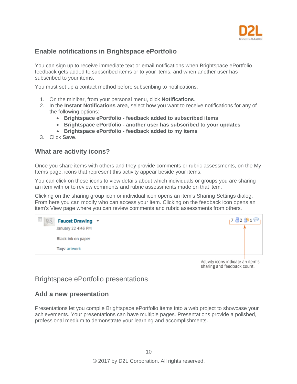

#### <span id="page-9-0"></span>**Enable notifications in Brightspace ePortfolio**

You can sign up to receive immediate text or email notifications when Brightspace ePortfolio feedback gets added to subscribed items or to your items, and when another user has subscribed to your items.

You must set up a contact method before subscribing to notifications.

- 1. On the minibar, from your personal menu, click **Notifications**.
- 2. In the **Instant Notifications** area, select how you want to receive notifications for any of the following options:
	- **Brightspace ePortfolio - feedback added to subscribed items**
	- **Brightspace ePortfolio - another user has subscribed to your updates**
	- **Brightspace ePortfolio - feedback added to my items**
- 3. Click **Save**.

#### <span id="page-9-1"></span>**What are activity icons?**

Once you share items with others and they provide comments or rubric assessments, on the My Items page, icons that represent this activity appear beside your items.

You can click on these icons to view details about which individuals or groups you are sharing an item with or to review comments and rubric assessments made on that item.

Clicking on the sharing group icon or individual icon opens an item's Sharing Settings dialog. From here you can modify who can access your item. Clicking on the feedback icon opens an item's View page where you can review comments and rubric assessments from others.



Activity icons indicate an item's sharing and feedback count.

# <span id="page-9-2"></span>Brightspace ePortfolio presentations

#### <span id="page-9-3"></span>**Add a new presentation**

Presentations let you compile Brightspace ePortfolio items into a web project to showcase your achievements. Your presentations can have multiple pages. Presentations provide a polished, professional medium to demonstrate your learning and accomplishments.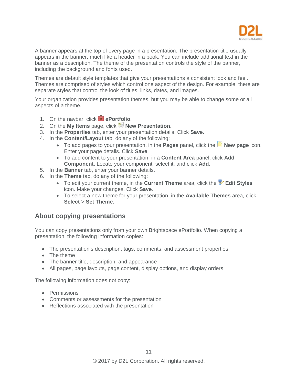

A banner appears at the top of every page in a presentation. The presentation title usually appears in the banner, much like a header in a book. You can include additional text in the banner as a description. The theme of the presentation controls the style of the banner, including the background and fonts used.

Themes are default style templates that give your presentations a consistent look and feel. Themes are comprised of styles which control one aspect of the design. For example, there are separate styles that control the look of titles, links, dates, and images.

Your organization provides presentation themes, but you may be able to change some or all aspects of a theme.

- 1. On the navbar, click **extending ePortfolio**.
- 2. On the **My Items** page, click **New Presentation**.
- 3. In the **Properties** tab, enter your presentation details. Click **Save**.
- 4. In the **Content/Layout** tab, do any of the following:
	- To add pages to your presentation, in the **Pages** panel, click the **New page** icon. Enter your page details. Click **Save**.
	- To add content to your presentation, in a **Content Area** panel, click **Add Component**. Locate your component, select it, and click **Add**.
- 5. In the **Banner** tab, enter your banner details.
- 6. In the **Theme** tab, do any of the following:
	- To edit your current theme, in the **Current Theme** area, click the **V** Edit Styles icon. Make your changes. Click **Save**.
	- To select a new theme for your presentation, in the **Available Themes** area, click **Select** > **Set Theme**.

#### <span id="page-10-0"></span>**About copying presentations**

You can copy presentations only from your own Brightspace ePortfolio. When copying a presentation, the following information copies:

- The presentation's description, tags, comments, and assessment properties
- The theme
- The banner title, description, and appearance
- All pages, page layouts, page content, display options, and display orders

The following information does not copy:

- Permissions
- Comments or assessments for the presentation
- Reflections associated with the presentation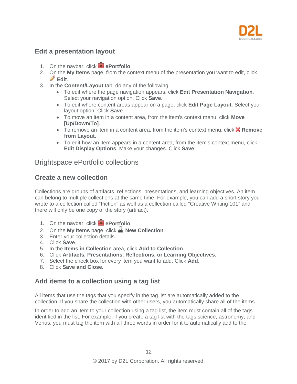

#### <span id="page-11-0"></span>**Edit a presentation layout**

- 1. On the navbar, click **e**Portfolio.
- 2. On the **My Items** page, from the context menu of the presentation you want to edit, click **Edit**.
- 3. In the **Content/Layout** tab, do any of the following:
	- To edit where the page navigation appears, click **Edit Presentation Navigation**. Select your navigation option. Click **Save**.
	- To edit where content areas appear on a page, click **Edit Page Layout**. Select your layout option. Click **Save**.
	- To move an item in a content area, from the item's context menu, click **Move [Up/Down/To]**.
	- To remove an item in a content area, from the item's context menu, click **Remove from Layout**.
	- To edit how an item appears in a content area, from the item's context menu, click **Edit Display Options**. Make your changes. Click **Save**.

#### <span id="page-11-1"></span>Brightspace ePortfolio collections

#### <span id="page-11-2"></span>**Create a new collection**

Collections are groups of artifacts, reflections, presentations, and learning objectives. An item can belong to multiple collections at the same time. For example, you can add a short story you wrote to a collection called "Fiction" as well as a collection called "Creative Writing 101" and there will only be one copy of the story (artifact).

- 1. On the navbar, click **P ePortfolio**.
- 2. On the My Items page, click **New Collection**.
- 3. Enter your collection details.
- 4. Click **Save**.
- 5. In the **Items in Collection** area, click **Add to Collection**.
- 6. Click **Artifacts, Presentations, Reflections, or Learning Objectives**.
- 7. Select the check box for every item you want to add. Click **Add**.
- 8. Click **Save and Close**.

#### <span id="page-11-3"></span>**Add items to a collection using a tag list**

All items that use the tags that you specify in the tag list are automatically added to the collection. If you share the collection with other users, you automatically share all of the items.

In order to add an item to your collection using a tag list, the item must contain all of the tags identified in the list. For example, if you create a tag list with the tags science, astronomy, and Venus, you must tag the item with all three words in order for it to automatically add to the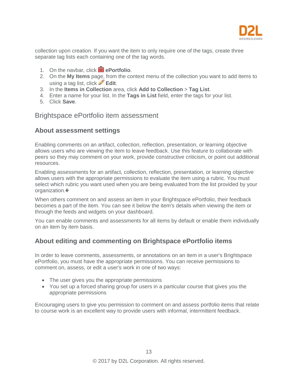

collection upon creation. If you want the item to only require one of the tags, create three separate tag lists each containing one of the tag words.

- 1. On the navbar, click **extending ePortfolio**.
- 2. On the **My Items** page, from the context menu of the collection you want to add items to using a tag list, click **Edit**.
- 3. In the **Items in Collection** area, click **Add to Collection** > **Tag List**.
- 4. Enter a name for your list. In the **Tags in List** field, enter the tags for your list.
- 5. Click **Save**.

#### <span id="page-12-0"></span>Brightspace ePortfolio item assessment

#### <span id="page-12-1"></span>**About assessment settings**

Enabling comments on an artifact, collection, reflection, presentation, or learning objective allows users who are viewing the item to leave feedback. Use this feature to collaborate with peers so they may comment on your work, provide constructive criticism, or point out additional resources.

Enabling assessments for an artifact, collection, reflection, presentation, or learning objective allows users with the appropriate permissions to evaluate the item using a rubric. You must select which rubric you want used when you are being evaluated from the list provided by your organization.�

When others comment on and assess an item in your Brightspace ePortfolio, their feedback becomes a part of the item. You can see it below the item's details when viewing the item or through the feeds and widgets on your dashboard.

You can enable comments and assessments for all items by default or enable them individually on an item by item basis.

#### <span id="page-12-2"></span>**About editing and commenting on Brightspace ePortfolio items**

In order to leave comments, assessments, or annotations on an item in a user's Brightspace ePortfolio, you must have the appropriate permissions. You can receive permissions to comment on, assess, or edit a user's work in one of two ways:

- The user gives you the appropriate permissions
- You set up a forced sharing group for users in a particular course that gives you the appropriate permissions

Encouraging users to give you permission to comment on and assess portfolio items that relate to course work is an excellent way to provide users with informal, intermittent feedback.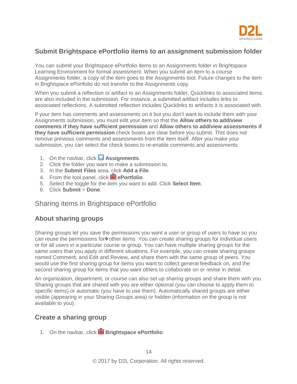

#### <span id="page-13-0"></span>**Submit Brightspace ePortfolio items to an assignment submission folder**

You can submit your Brightspace ePortfolio items to an Assignments folder in Brightspace Learning Environment for formal assessment. When you submit an item to a course Assignments folder, a copy of the item goes to the Assignments tool. Future changes to the item in Brightspace ePortfolio do not transfer to the Assignments copy.

When you submit a reflection or artifact to an Assignments folder, Quicklinks to associated items are also included in the submission. For instance, a submitted artifact includes links to associated reflections. A submitted reflection includes Quicklinks to artifacts it is associated with.

If your item has comments and assessments on it but you don't want to include them with your Assignments submission, you must edit your item so that the **Allow others to add/view comments if they have sufficient permission** and **Allow others to add/view assessments if they have sufficient permission** check boxes are clear before you submit. This does not remove previous comments and assessments from the item itself. After you make your submission, you can select the check boxes to re-enable comments and assessments.

- 1. On the navbar, click **Assignments**.
- 2. Click the folder you want to make a submission to.
- 3. In the **Submit Files** area, click **Add a File**.
- 4. From the tool panel, click **external ePortfolio**.
- 5. Select the toggle for the item you want to add. Click **Select Item**.
- 6. Click **Submit** > **Done**.

#### <span id="page-13-1"></span>Sharing items in Brightspace ePortfolio

#### <span id="page-13-2"></span>**About sharing groups**

Sharing groups let you save the permissions you want a user or group of users to have so you can reuse the permissions for�other items. You can create sharing groups for individual users or for all users in a particular course or group. You can have multiple sharing groups for the same users that you apply in different situations. For example, you can create sharing groups named Comment, and Edit and Review, and share them with the same group of peers. You would use the first sharing group for items you want to collect general feedback on, and the second sharing group for items that you want others to collaborate on or revise in detail.

An organization, department, or course can also set up sharing groups and share them with you. Sharing groups that are shared with you are either optional (you can choose to apply them to specific items) or automatic (you have to use them). Automatically shared groups are either visible (appearing in your Sharing Groups area) or hidden (information on the group is not available to you).

#### <span id="page-13-3"></span>**Create a sharing group**

1. On the navbar, click **B** Brightspace ePortfolio.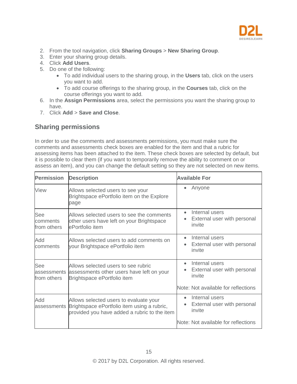

- 2. From the tool navigation, click **Sharing Groups** > **New Sharing Group**.
- 3. Enter your sharing group details.
- 4. Click **Add Users**.
- 5. Do one of the following:
	- To add individual users to the sharing group, in the **Users** tab, click on the users you want to add.
	- To add course offerings to the sharing group, in the **Courses** tab, click on the course offerings you want to add.
- 6. In the **Assign Permissions** area, select the permissions you want the sharing group to have.
- 7. Click **Add** > **Save and Close**.

#### <span id="page-14-0"></span>**Sharing permissions**

In order to use the comments and assessments permissions, you must make sure the comments and assessments check boxes are enabled for the item and that a rubric for assessing items has been attached to the item. These check boxes are selected by default, but it is possible to clear them (if you want to temporarily remove the ability to comment on or assess an item), and you can change the default setting so they are not selected on new items.

| <b>Permission</b><br><b>Description</b> |                                                                                                                                       | <b>Available For</b>                                                              |  |  |
|-----------------------------------------|---------------------------------------------------------------------------------------------------------------------------------------|-----------------------------------------------------------------------------------|--|--|
| View                                    | Allows selected users to see your<br>Brightspace ePortfolio item on the Explore<br>page                                               | Anyone                                                                            |  |  |
| See<br>comments<br>from others          | Allows selected users to see the comments<br>other users have left on your Brightspace<br>ePortfolio item                             | Internal users<br>$\bullet$<br>External user with personal<br>invite              |  |  |
| Add<br>comments                         | Allows selected users to add comments on<br>your Brightspace ePortfolio item                                                          | Internal users<br>$\bullet$<br>External user with personal<br>۰<br>invite         |  |  |
| See<br>assessments<br>from others       | Allows selected users to see rubric<br>assessments other users have left on your<br>Brightspace ePortfolio item                       | Internal users<br>$\bullet$<br>External user with personal<br>$\bullet$<br>invite |  |  |
|                                         |                                                                                                                                       | Note: Not available for reflections                                               |  |  |
| Add<br>assessments                      | Allows selected users to evaluate your<br>Brightspace ePortfolio item using a rubric,<br>provided you have added a rubric to the item | Internal users<br>$\bullet$<br>External user with personal<br>invite              |  |  |
|                                         |                                                                                                                                       | Note: Not available for reflections                                               |  |  |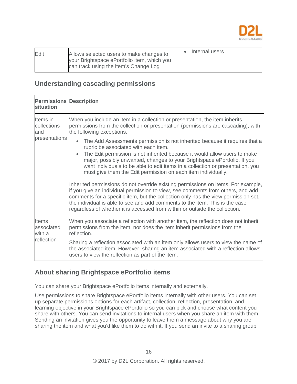

| Edit | Allows selected users to make changes to    | • Internal users |
|------|---------------------------------------------|------------------|
|      | your Brightspace ePortfolio item, which you |                  |
|      | can track using the item's Change Log       |                  |

#### <span id="page-15-0"></span>**Understanding cascading permissions**

| <b>Permissions Description</b><br>situation        |                                                                                                                                                                                                                                                                                                                                                                                                                                                                                                                                                                                                                                                                                              |
|----------------------------------------------------|----------------------------------------------------------------------------------------------------------------------------------------------------------------------------------------------------------------------------------------------------------------------------------------------------------------------------------------------------------------------------------------------------------------------------------------------------------------------------------------------------------------------------------------------------------------------------------------------------------------------------------------------------------------------------------------------|
| Items in<br>collections<br>and<br>presentations    | When you include an item in a collection or presentation, the item inherits<br>permissions from the collection or presentation (permissions are cascading), with<br>the following exceptions:                                                                                                                                                                                                                                                                                                                                                                                                                                                                                                |
|                                                    | The Add Assessments permission is not inherited because it requires that a<br>rubric be associated with each item.<br>The Edit permission is not inherited because it would allow users to make<br>major, possibly unwanted, changes to your Brightspace ePortfolio. If you<br>want individuals to be able to edit items in a collection or presentation, you<br>must give them the Edit permission on each item individually.<br>Inherited permissions do not override existing permissions on items. For example,<br>if you give an individual permission to view, see comments from others, and add<br>comments for a specific item, but the collection only has the view permission set, |
|                                                    | the individual is able to see and add comments to the item. This is the case<br>regardless of whether it is accessed from within or outside the collection.                                                                                                                                                                                                                                                                                                                                                                                                                                                                                                                                  |
| <b>Items</b><br>associated<br>with a<br>reflection | When you associate a reflection with another item, the reflection does not inherit<br>permissions from the item, nor does the item inherit permissions from the<br>reflection.                                                                                                                                                                                                                                                                                                                                                                                                                                                                                                               |
|                                                    | Sharing a reflection associated with an item only allows users to view the name of<br>the associated item. However, sharing an item associated with a reflection allows<br>users to view the reflection as part of the item.                                                                                                                                                                                                                                                                                                                                                                                                                                                                 |

# <span id="page-15-1"></span>**About sharing Brightspace ePortfolio items**

You can share your Brightspace ePortfolio items internally and externally.

Use permissions to share Brightspace ePortfolio items internally with other users. You can set up separate permissions options for each artifact, collection, reflection, presentation, and learning objective in your Brightspace ePortfolio so you can pick and choose what content you share with others. You can send invitations to internal users when you share an item with them. Sending an invitation gives you the opportunity to leave them a message about why you are sharing the item and what you'd like them to do with it. If you send an invite to a sharing group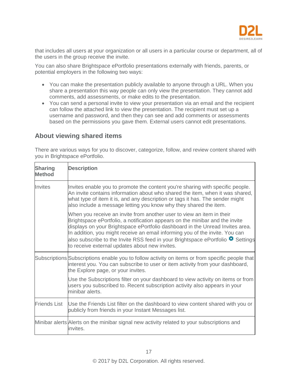

that includes all users at your organization or all users in a particular course or department, all of the users in the group receive the invite.

You can also share Brightspace ePortfolio presentations externally with friends, parents, or potential employers in the following two ways:

- You can make the presentation publicly available to anyone through a URL. When you share a presentation this way people can only view the presentation. They cannot add comments, add assessments, or make edits to the presentation.
- You can send a personal invite to view your presentation via an email and the recipient can follow the attached link to view the presentation. The recipient must set up a username and password, and then they can see and add comments or assessments based on the permissions you gave them. External users cannot edit presentations.

#### <span id="page-16-0"></span>**About viewing shared items**

There are various ways for you to discover, categorize, follow, and review content shared with you in Brightspace ePortfolio.

| <b>Sharing</b><br><b>Method</b> | <b>Description</b>                                                                                                                                                                                                                                                                                                                                                                                                                                                     |
|---------------------------------|------------------------------------------------------------------------------------------------------------------------------------------------------------------------------------------------------------------------------------------------------------------------------------------------------------------------------------------------------------------------------------------------------------------------------------------------------------------------|
| Invites                         | Invites enable you to promote the content you're sharing with specific people.<br>An invite contains information about who shared the item, when it was shared,<br>what type of item it is, and any description or tags it has. The sender might<br>also include a message letting you know why they shared the item.                                                                                                                                                  |
|                                 | When you receive an invite from another user to view an item in their<br>Brightspace ePortfolio, a notification appears on the minibar and the invite<br>displays on your Brightspace ePortfolio dashboard in the Unread Invites area.<br>In addition, you might receive an email informing you of the invite. You can<br>also subscribe to the Invite RSS feed in your Brightspace ePortfolio <sup>1</sup> Settings<br>to receive external updates about new invites. |
|                                 | Subscriptions Subscriptions enable you to follow activity on items or from specific people that<br>interest you. You can subscribe to user or item activity from your dashboard,<br>the Explore page, or your invites.                                                                                                                                                                                                                                                 |
|                                 | Use the Subscriptions filter on your dashboard to view activity on items or from<br>users you subscribed to. Recent subscription activity also appears in your<br>minibar alerts.                                                                                                                                                                                                                                                                                      |
| <b>Friends List</b>             | Use the Friends List filter on the dashboard to view content shared with you or<br>publicly from friends in your Instant Messages list.                                                                                                                                                                                                                                                                                                                                |
|                                 | Minibar alerts Alerts on the minibar signal new activity related to your subscriptions and<br>invites.                                                                                                                                                                                                                                                                                                                                                                 |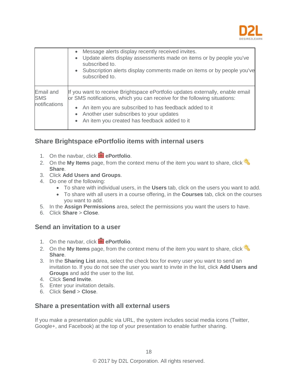

|                                          | Message alerts display recently received invites.<br>Update alerts display assessments made on items or by people you've<br>subscribed to.<br>Subscription alerts display comments made on items or by people you've<br>$\bullet$<br>subscribed to. |
|------------------------------------------|-----------------------------------------------------------------------------------------------------------------------------------------------------------------------------------------------------------------------------------------------------|
| Email and<br><b>SMS</b><br>notifications | If you want to receive Brightspace ePortfolio updates externally, enable email<br>or SMS notifications, which you can receive for the following situations:                                                                                         |
|                                          | An item you are subscribed to has feedback added to it<br>Another user subscribes to your updates<br>An item you created has feedback added to it                                                                                                   |

# <span id="page-17-0"></span>**Share Brightspace ePortfolio items with internal users**

- 1. On the navbar, click **e**Portfolio.
- 2. On the **My Items** page, from the context menu of the item you want to share, click **Share**.
- 3. Click **Add Users and Groups**.
- 4. Do one of the following:
	- To share with individual users, in the **Users** tab, click on the users you want to add.
	- To share with all users in a course offering, in the **Courses** tab, click on the courses you want to add.
- 5. In the **Assign Permissions** area, select the permissions you want the users to have.
- 6. Click **Share** > **Close**.

#### <span id="page-17-1"></span>**Send an invitation to a user**

- 1. On the navbar, click **external ePortfolio**.
- 2. On the **My Items** page, from the context menu of the item you want to share, click **Share**.
- 3. In the **Sharing List** area, select the check box for every user you want to send an invitation to. If you do not see the user you want to invite in the list, click **Add Users and Groups** and add the user to the list.
- 4. Click **Send Invite**.
- 5. Enter your invitation details.
- 6. Click **Send** > **Close**.

#### <span id="page-17-2"></span>**Share a presentation with all external users**

If you make a presentation public via URL, the system includes social media icons (Twitter, Google+, and Facebook) at the top of your presentation to enable further sharing.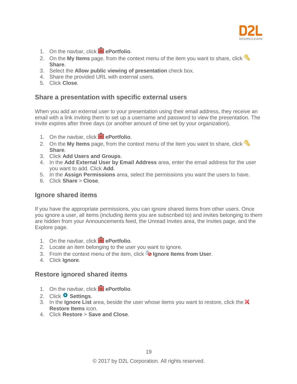

- 1. On the navbar, click **extending** ePortfolio.
- 2. On the **My Items** page, from the context menu of the item you want to share, click **Share**.
- 3. Select the **Allow public viewing of presentation** check box.
- 4. Share the provided URL with external users.
- 5. Click **Close**.

#### <span id="page-18-0"></span>**Share a presentation with specific external users**

When you add an external user to your presentation using their email address, they receive an email with a link inviting them to set up a username and password to view the presentation. The invite expires after three days (or another amount of time set by your organization).

- 1. On the navbar, click **e**Portfolio.
- 2. On the **My Items** page, from the context menu of the item you want to share, click **Share**.
- 3. Click **Add Users and Groups**.
- 4. In the **Add External User by Email Address** area, enter the email address for the user you want to add. Click **Add**.
- 5. In the **Assign Permissions** area, select the permissions you want the users to have.
- 6. Click **Share** > **Close**.

#### <span id="page-18-1"></span>**Ignore shared items**

If you have the appropriate permissions, you can ignore shared items from other users. Once you ignore a user, all items (including items you are subscribed to) and invites belonging to them are hidden from your Announcements feed, the Unread Invites area, the Invites page, and the Explore page.

- 1. On the navbar, click **P**ePortfolio.
- 2. Locate an item belonging to the user you want to ignore.
- 3. From the context menu of the item, click **b** Ignore Items from User.
- 4. Click **Ignore**.

#### <span id="page-18-2"></span>**Restore ignored shared items**

- 1. On the navbar, click **Propertivio**.
- 2. Click **C** Settings.
- 3. In the **Ignore List** area, beside the user whose items you want to restore, click the **Restore Items** icon.
- 4. Click **Restore** > **Save and Close**.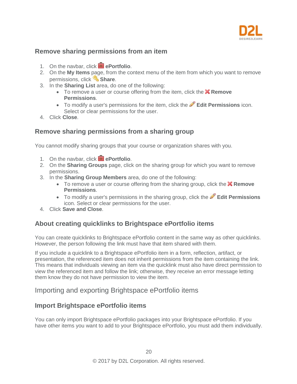

#### <span id="page-19-0"></span>**Remove sharing permissions from an item**

- 1. On the navbar, click **e**Portfolio.
- 2. On the **My Items** page, from the context menu of the item from which you want to remove permissions, click **Share**.
- 3. In the **Sharing List** area, do one of the following:
	- To remove a user or course offering from the item, click the **X Remove Permissions**.
	- To modify a user's permissions for the item, click the **Edit Permissions** icon. Select or clear permissions for the user.
- 4. Click **Close**.

#### <span id="page-19-1"></span>**Remove sharing permissions from a sharing group**

You cannot modify sharing groups that your course or organization shares with you.

- 1. On the navbar, click **extending** ePortfolio.
- 2. On the **Sharing Groups** page, click on the sharing group for which you want to remove permissions.
- 3. In the **Sharing Group Members** area, do one of the following:
	- To remove a user or course offering from the sharing group, click the **X Remove Permissions**.
	- To modify a user's permissions in the sharing group, click the **Edit Permissions** icon. Select or clear permissions for the user.
- 4. Click **Save and Close**.

#### <span id="page-19-2"></span>**About creating quicklinks to Brightspace ePortfolio items**

You can create quicklinks to Brightspace ePortfolio content in the same way as other quicklinks. However, the person following the link must have that item shared with them.

If you include a quicklink to a Brightspace ePortfolio item in a form, reflection, artifact, or presentation, the referenced item does not inherit permissions from the item containing the link. This means that individuals viewing an item via the quicklink must also have direct permission to view the referenced item and follow the link; otherwise, they receive an error message letting them know they do not have permission to view the item.

# <span id="page-19-3"></span>Importing and exporting Brightspace ePortfolio items

#### <span id="page-19-4"></span>**Import Brightspace ePortfolio items**

You can only import Brightspace ePortfolio packages into your Brightspace ePortfolio. If you have other items you want to add to your Brightspace ePortfolio, you must add them individually.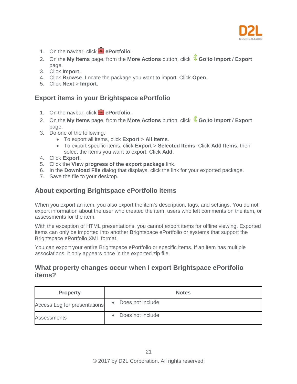

- 1. On the navbar, click **e**Portfolio.
- 2. On the My Items page, from the More Actions button, click **Co to Import / Export** page.
- 3. Click **Import**.
- 4. Click **Browse**. Locate the package you want to import. Click **Open**.
- 5. Click **Next** > **Import**.

#### <span id="page-20-0"></span>**Export items in your Brightspace ePortfolio**

- 1. On the navbar, click **extending** ePortfolio.
- 2. On the **My Items** page, from the **More Actions** button, click **Go to Import / Export**  page.
- 3. Do one of the following:
	- To export all items, click **Export** > **All Items**.
	- To export specific items, click **Export** > **Selected Items**. Click **Add Items**, then select the items you want to export. Click **Add**.
- 4. Click **Export**.
- 5. Click the **View progress of the export package** link.
- 6. In the **Download File** dialog that displays, click the link for your exported package.
- 7. Save the file to your desktop.

#### <span id="page-20-1"></span>**About exporting Brightspace ePortfolio items**

When you export an item, you also export the item's description, tags, and settings. You do not export information about the user who created the item, users who left comments on the item, or assessments for the item.

With the exception of HTML presentations, you cannot export items for offline viewing. Exported items can only be imported into another Brightspace ePortfolio or systems that support the Brightspace ePortfolio XML format.

You can export your entire Brightspace ePortfolio or specific items. If an item has multiple associations, it only appears once in the exported zip file.

#### <span id="page-20-2"></span>**What property changes occur when I export Brightspace ePortfolio items?**

| <b>Property</b>              | <b>Notes</b>                  |
|------------------------------|-------------------------------|
| Access Log for presentations | Does not include              |
| Assessments                  | Does not include<br>$\bullet$ |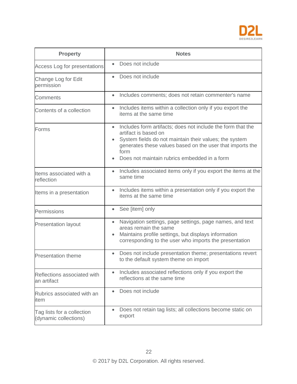

| <b>Property</b>                                     | <b>Notes</b>                                                                                                                                                                                                                                                                    |
|-----------------------------------------------------|---------------------------------------------------------------------------------------------------------------------------------------------------------------------------------------------------------------------------------------------------------------------------------|
| Access Log for presentations                        | Does not include<br>$\bullet$                                                                                                                                                                                                                                                   |
| Change Log for Edit<br>permission                   | Does not include                                                                                                                                                                                                                                                                |
| Comments                                            | Includes comments; does not retain commenter's name<br>$\bullet$                                                                                                                                                                                                                |
| Contents of a collection                            | Includes items within a collection only if you export the<br>$\bullet$<br>items at the same time                                                                                                                                                                                |
| Forms                                               | Includes form artifacts; does not include the form that the<br>$\bullet$<br>artifact is based on<br>System fields do not maintain their values; the system<br>generates these values based on the user that imports the<br>form<br>Does not maintain rubrics embedded in a form |
| Items associated with a<br>reflection               | Includes associated items only if you export the items at the<br>$\bullet$<br>same time                                                                                                                                                                                         |
| Items in a presentation                             | Includes items within a presentation only if you export the<br>items at the same time                                                                                                                                                                                           |
| Permissions                                         | See [item] only<br>$\bullet$                                                                                                                                                                                                                                                    |
| <b>Presentation layout</b>                          | Navigation settings, page settings, page names, and text<br>$\bullet$<br>areas remain the same<br>Maintains profile settings, but displays information<br>corresponding to the user who imports the presentation                                                                |
| <b>Presentation theme</b>                           | Does not include presentation theme; presentations revert<br>$\bullet$<br>to the default system theme on import                                                                                                                                                                 |
| Reflections associated with<br>an artifact          | Includes associated reflections only if you export the<br>$\bullet$<br>reflections at the same time                                                                                                                                                                             |
| Rubrics associated with an<br>item                  | Does not include<br>٠                                                                                                                                                                                                                                                           |
| Tag lists for a collection<br>(dynamic collections) | Does not retain tag lists; all collections become static on<br>export                                                                                                                                                                                                           |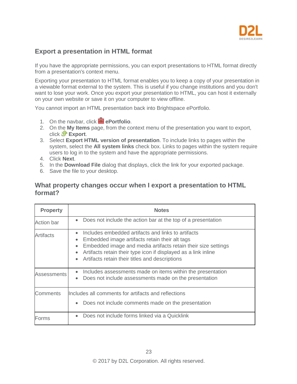

#### <span id="page-22-0"></span>**Export a presentation in HTML format**

If you have the appropriate permissions, you can export presentations to HTML format directly from a presentation's context menu.

Exporting your presentation to HTML format enables you to keep a copy of your presentation in a viewable format external to the system. This is useful if you change institutions and you don't want to lose your work. Once you export your presentation to HTML, you can host it externally on your own website or save it on your computer to view offline.

You cannot import an HTML presentation back into Brightspace ePortfolio.

- 1. On the navbar, click **e**Portfolio.
- 2. On the **My Items** page, from the context menu of the presentation you want to export, click **Export**.
- 3. Select **Export HTML version of presentation**. To include links to pages within the system, select the **All system links** check box. Links to pages within the system require users to log in to the system and have the appropriate permissions.
- 4. Click **Next**.
- 5. In the **Download File** dialog that displays, click the link for your exported package.
- 6. Save the file to your desktop.

#### <span id="page-22-1"></span>**What property changes occur when I export a presentation to HTML format?**

| <b>Property</b>   | <b>Notes</b>                                                                                                                                                                                                                                                                                                                                               |
|-------------------|------------------------------------------------------------------------------------------------------------------------------------------------------------------------------------------------------------------------------------------------------------------------------------------------------------------------------------------------------------|
| <b>Action bar</b> | Does not include the action bar at the top of a presentation<br>$\bullet$                                                                                                                                                                                                                                                                                  |
| Artifacts         | Includes embedded artifacts and links to artifacts<br>$\bullet$<br>Embedded image artifacts retain their alt tags<br>$\bullet$<br>Embedded image and media artifacts retain their size settings<br>$\bullet$<br>Artifacts retain their type icon if displayed as a link inline<br>$\bullet$<br>Artifacts retain their titles and descriptions<br>$\bullet$ |
| Assessments       | Includes assessments made on items within the presentation<br>$\bullet$<br>Does not include assessments made on the presentation<br>$\bullet$                                                                                                                                                                                                              |
| <b>Comments</b>   | Includes all comments for artifacts and reflections<br>Does not include comments made on the presentation<br>$\bullet$                                                                                                                                                                                                                                     |
| Forms             | Does not include forms linked via a Quicklink<br>$\bullet$                                                                                                                                                                                                                                                                                                 |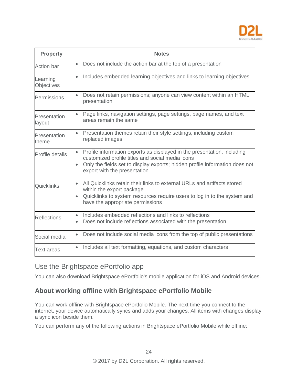

| <b>Property</b>               | <b>Notes</b>                                                                                                                                                                                                                                                         |
|-------------------------------|----------------------------------------------------------------------------------------------------------------------------------------------------------------------------------------------------------------------------------------------------------------------|
| <b>Action bar</b>             | Does not include the action bar at the top of a presentation<br>$\bullet$                                                                                                                                                                                            |
| Learning<br><b>Objectives</b> | Includes embedded learning objectives and links to learning objectives<br>$\bullet$                                                                                                                                                                                  |
| Permissions                   | Does not retain permissions; anyone can view content within an HTML<br>$\bullet$<br>presentation                                                                                                                                                                     |
| Presentation<br>layout        | Page links, navigation settings, page settings, page names, and text<br>$\bullet$<br>areas remain the same                                                                                                                                                           |
| Presentation<br>theme         | Presentation themes retain their style settings, including custom<br>$\bullet$<br>replaced images                                                                                                                                                                    |
| Profile details               | Profile information exports as displayed in the presentation, including<br>$\bullet$<br>customized profile titles and social media icons<br>Only the fields set to display exports; hidden profile information does not<br>$\bullet$<br>export with the presentation |
| Quicklinks                    | • All Quicklinks retain their links to external URLs and artifacts stored<br>within the export package<br>Quicklinks to system resources require users to log in to the system and<br>$\bullet$<br>have the appropriate permissions                                  |
| <b>Reflections</b>            | Includes embedded reflections and links to reflections<br>$\bullet$<br>Does not include reflections associated with the presentation<br>$\bullet$                                                                                                                    |
| Social media                  | Does not include social media icons from the top of public presentations<br>$\bullet$                                                                                                                                                                                |
| <b>Text areas</b>             | Includes all text formatting, equations, and custom characters<br>$\bullet$                                                                                                                                                                                          |

# <span id="page-23-0"></span>Use the Brightspace ePortfolio app

You can also download Brightspace ePortfolio's mobile application for iOS and Android devices.

# <span id="page-23-1"></span>**About working offline with Brightspace ePortfolio Mobile**

You can work offline with Brightspace ePortfolio Mobile. The next time you connect to the internet, your device automatically syncs and adds your changes. All items with changes display a sync icon beside them.

You can perform any of the following actions in Brightspace ePortfolio Mobile while offline: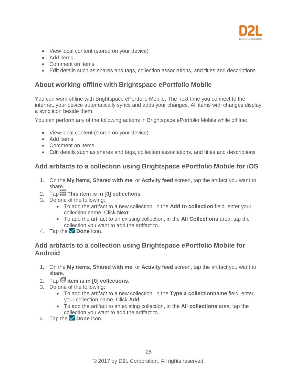

- View local content (stored on your device)
- Add items
- Comment on items
- Edit details such as shares and tags, collection associations, and titles and descriptions

#### <span id="page-24-0"></span>**About working offline with Brightspace ePortfolio Mobile**

You can work offline with Brightspace ePortfolio Mobile. The next time you connect to the internet, your device automatically syncs and adds your changes. All items with changes display a sync icon beside them.

You can perform any of the following actions in Brightspace ePortfolio Mobile while offline:

- View local content (stored on your device)
- Add items
- Comment on items
- Edit details such as shares and tags, collection associations, and titles and descriptions

#### <span id="page-24-1"></span>**Add artifacts to a collection using Brightspace ePortfolio Mobile for iOS**

- 1. On the **My items**, **Shared with me**, or **Activity feed** screen, tap the artifact you want to share.
- 2. Tap **This item is in [0] collections**.
- 3. Do one of the following:
	- To add the artifact to a new collection, in the **Add to collection** field, enter your collection name. Click **Next**.
	- To add the artifact to an existing collection, in the **All Collections** area, tap the collection you want to add the artifact to.
- 4. Tap the **Done** icon.

#### <span id="page-24-2"></span>**Add artifacts to a collection using Brightspace ePortfolio Mobile for Android**

- 1. On the **My items**, **Shared with me**, or **Activity feed** screen, tap the artifact you want to share.
- 2. Tap **item is in [0] collections**.
- 3. Do one of the following:
	- To add the artifact to a new collection, in the **Type a collectionname** field, enter your collection name. Click **Add**.
	- To add the artifact to an existing collection, in the **All collections** area, tap the collection you want to add the artifact to.
- 4. Tap the **Done** icon.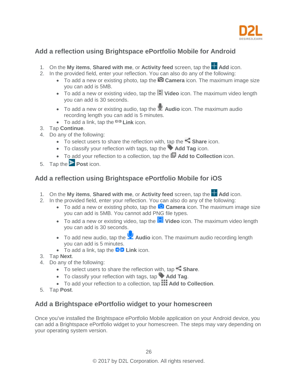

# <span id="page-25-0"></span>**Add a reflection using Brightspace ePortfolio Mobile for Android**

- 1. On the My items, Shared with me, or Activity feed screen, tap the **Add** icon.
- 2. In the provided field, enter your reflection. You can also do any of the following:
	- To add a new or existing photo, tap the **Camera** icon. The maximum image size you can add is 5MB.
	- To add a new or existing video, tap the **Video** icon. The maximum video length you can add is 30 seconds.
	- To add a new or existing audio, tap the **Audio** icon. The maximum audio recording length you can add is 5 minutes.
	- To add a link, tap the **Link** icon.
- 3. Tap **Continue**.
- 4. Do any of the following:
	- To select users to share the reflection with, tap the **Share** icon.
	- To classify your reflection with tags, tap the **Add Tag** icon.
	- To add your reflection to a collection, tap the **<sup>ID</sup>** Add to Collection icon.
- 5. Tap the **Post** icon.

# <span id="page-25-1"></span>**Add a reflection using Brightspace ePortfolio Mobile for iOS**

- 1. On the My items, Shared with me, or Activity feed screen, tap the **Add** icon.
- 2. In the provided field, enter your reflection. You can also do any of the following:
	- To add a new or existing photo, tap the **Camera** icon. The maximum image size you can add is 5MB. You cannot add PNG file types.
	- To add a new or existing video, tap the **Fill Video** icon. The maximum video length you can add is 30 seconds.
	- To add new audio, tap the **Audio** icon. The maximum audio recording length you can add is 5 minutes.
	- To add a link, tap the **C-D** Link icon.
- 3. Tap **Next**.
- 4. Do any of the following:
	- To select users to share the reflection with, tap **Share**.
	- To classify your reflection with tags, tap **Add Tag**.
	- To add your reflection to a collection, tap **Add to Collection**.
- 5. Tap **Post**.

# <span id="page-25-2"></span>**Add a Brightspace ePortfolio widget to your homescreen**

Once you've installed the Brightspace ePortfolio Mobile application on your Android device, you can add a Brightspace ePortfolio widget to your homescreen. The steps may vary depending on your operating system version.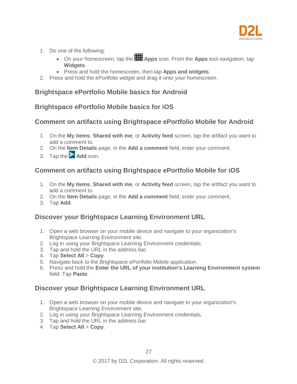

- 1. Do one of the following:
	- On your homescreen, tap the **Apps** icon. From the **Apps** tool navigation, tap **Widgets**.
	- Press and hold the homescreen, then tap **Apps and widgets**.
- 2. Press and hold the ePortfolio widget and drag it onto your homescreen.

#### <span id="page-26-0"></span>**Brightspace ePortfolio Mobile basics for Android**

#### <span id="page-26-1"></span>**Brightspace ePortfolio Mobile basics for iOS**

# <span id="page-26-2"></span>**Comment on artifacts using Brightspace ePortfolio Mobile for Android**

- 1. On the **My items**, **Shared with me**, or **Activity feed** screen, tap the artifact you want to add a comment to.
- 2. On the **Item Details** page, in the **Add a comment** field, enter your comment.
- 3. Tap the **Add** icon.

# <span id="page-26-3"></span>**Comment on artifacts using Brightspace ePortfolio Mobile for iOS**

- 1. On the **My items**, **Shared with me**, or **Activity feed** screen, tap the artifact you want to add a comment to.
- 2. On the **Item Details** page, in the **Add a comment** field, enter your comment.
- 3. Tap **Add**.

# <span id="page-26-4"></span>**Discover your Brightspace Learning Environment URL**

- 1. Open a web browser on your mobile device and navigate to your organization's Brightspace Learning Environment site.
- 2. Log in using your Brightspace Learning Environment credentials.
- 3. Tap and hold the URL in the address bar.
- 4. Tap **Select All** > **Copy**.
- 5. Navigate back to the Brightspace ePortfolio Mobile application.
- 6. Press and hold the **Enter the URL of your institution's Learning Environment system** field. Tap **Paste**.

# <span id="page-26-5"></span>**Discover your Brightspace Learning Environment URL**

- 1. Open a web browser on your mobile device and navigate to your organization's Brightspace Learning Environment site.
- 2. Log in using your Brightspace Learning Environment credentials.
- 3. Tap and hold the URL in the address bar.
- 4. Tap **Select All** > **Copy**.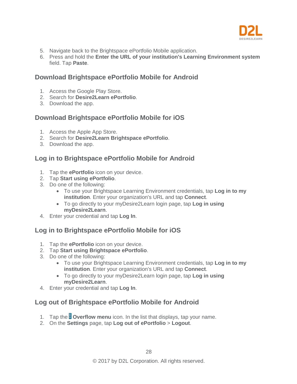

- 5. Navigate back to the Brightspace ePortfolio Mobile application.
- 6. Press and hold the **Enter the URL of your institution's Learning Environment system** field. Tap **Paste**.

#### <span id="page-27-0"></span>**Download Brightspace ePortfolio Mobile for Android**

- 1. Access the Google Play Store.
- 2. Search for **Desire2Learn ePortfolio**.
- 3. Download the app.

#### <span id="page-27-1"></span>**Download Brightspace ePortfolio Mobile for iOS**

- 1. Access the Apple App Store.
- 2. Search for **Desire2Learn Brightspace ePortfolio**.
- 3. Download the app.

# <span id="page-27-2"></span>**Log in to Brightspace ePortfolio Mobile for Android**

- 1. Tap the **ePortfolio** icon on your device.
- 2. Tap **Start using ePortfolio**.
- 3. Do one of the following:
	- To use your Brightspace Learning Environment credentials, tap **Log in to my institution**. Enter your organization's URL and tap **Connect**.
	- To go directly to your myDesire2Learn login page, tap **Log in using myDesire2Learn**.
- 4. Enter your credential and tap **Log In**.

# <span id="page-27-3"></span>**Log in to Brightspace ePortfolio Mobile for iOS**

- 1. Tap the **ePortfolio** icon on your device.
- 2. Tap **Start using Brightspace ePortfolio**.
- 3. Do one of the following:
	- To use your Brightspace Learning Environment credentials, tap **Log in to my institution**. Enter your organization's URL and tap **Connect**.
	- To go directly to your myDesire2Learn login page, tap **Log in using myDesire2Learn**.
- 4. Enter your credential and tap **Log In**.

# <span id="page-27-4"></span>**Log out of Brightspace ePortfolio Mobile for Android**

- 1. Tap the **Overflow menu** icon. In the list that displays, tap your name.
- 2. On the **Settings** page, tap **Log out of ePortfolio** > **Logout**.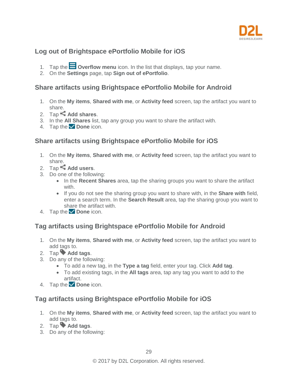

# <span id="page-28-0"></span>**Log out of Brightspace ePortfolio Mobile for iOS**

- 1. Tap the **Overflow menu** icon. In the list that displays, tap your name.
- 2. On the **Settings** page, tap **Sign out of ePortfolio**.

#### <span id="page-28-1"></span>**Share artifacts using Brightspace ePortfolio Mobile for Android**

- 1. On the **My items**, **Shared with me**, or **Activity feed** screen, tap the artifact you want to share.
- 2. Tap **Add shares**.
- 3. In the **All Shares** list, tap any group you want to share the artifact with.
- 4. Tap the **Done** icon.

#### <span id="page-28-2"></span>**Share artifacts using Brightspace ePortfolio Mobile for iOS**

- 1. On the **My items**, **Shared with me**, or **Activity feed** screen, tap the artifact you want to share.
- 2. Tap **Add users**.
- 3. Do one of the following:
	- In the **Recent Shares** area, tap the sharing groups you want to share the artifact with.
	- If you do not see the sharing group you want to share with, in the **Share with** field, enter a search term. In the **Search Result** area, tap the sharing group you want to share the artifact with.
- 4. Tap the **Done** icon.

#### <span id="page-28-3"></span>**Tag artifacts using Brightspace ePortfolio Mobile for Android**

- 1. On the **My items**, **Shared with me**, or **Activity feed** screen, tap the artifact you want to add tags to.
- 2. Tap **Add tags**.
- 3. Do any of the following:
	- To add a new tag, in the **Type a tag** field, enter your tag. Click **Add tag**.
	- To add existing tags, in the **All tags** area, tap any tag you want to add to the artifact.
- 4. Tap the **Done** icon.

#### <span id="page-28-4"></span>**Tag artifacts using Brightspace ePortfolio Mobile for iOS**

- 1. On the **My items**, **Shared with me**, or **Activity feed** screen, tap the artifact you want to add tags to.
- 2. Tap **Add tags**.
- 3. Do any of the following: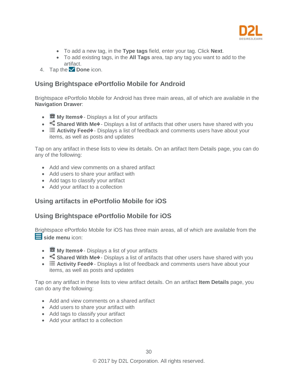

- To add a new tag, in the **Type tags** field, enter your tag. Click **Next**.
- To add existing tags, in the **All Tags** area, tap any tag you want to add to the artifact.
- 4. Tap the **Done** icon.

#### <span id="page-29-0"></span>**Using Brightspace ePortfolio Mobile for Android**

Brightspace ePortfolio Mobile for Android has three main areas, all of which are available in the **Navigation Drawer**:

- **My Items** $\circ$  Displays a list of your artifacts
- **Shared With Me<sup>** $\lozenge$  Displays a list of artifacts that other users have shared with you</sup>
- **Example 20** Activity Feed  $\bullet$  Displays a list of feedback and comments users have about your items, as well as posts and updates

Tap on any artifact in these lists to view its details. On an artifact Item Details page, you can do any of the following:

- Add and view comments on a shared artifact
- Add users to share your artifact with
- Add tags to classify your artifact
- Add your artifact to a collection

#### <span id="page-29-1"></span>**Using artifacts in ePortfolio Mobile for iOS**

#### <span id="page-29-2"></span>**Using Brightspace ePortfolio Mobile for iOS**

Brightspace ePortfolio Mobile for iOS has three main areas, all of which are available from the side menu icon:

- **My Items** $\circ$  Displays a list of your artifacts
- **Shared With Me<sup>** $\lozenge$  Displays a list of artifacts that other users have shared with you</sup>
- **E** Activity Feed<sup>\*</sup> Displays a list of feedback and comments users have about your items, as well as posts and updates

Tap on any artifact in these lists to view artifact details. On an artifact **Item Details** page, you can do any the following:

- Add and view comments on a shared artifact
- Add users to share your artifact with
- Add tags to classify your artifact
- Add your artifact to a collection